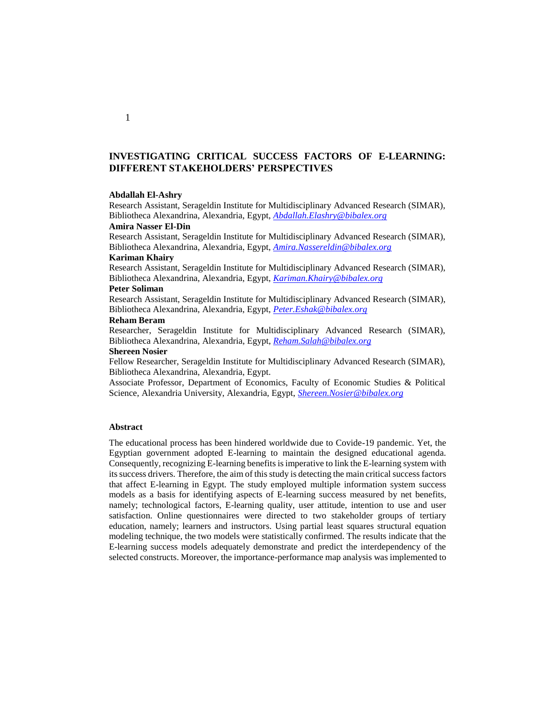# **INVESTIGATING CRITICAL SUCCESS FACTORS OF E-LEARNING: DIFFERENT STAKEHOLDERS' PERSPECTIVES**

#### **Abdallah El-Ashry**

Research Assistant, Serageldin Institute for Multidisciplinary Advanced Research (SIMAR), Bibliotheca Alexandrina, Alexandria, Egypt, *[Abdallah.Elashry@bibalex.org](mailto:Abdallah.Elashry@bibalex.org)*

## **Amira Nasser El-Din**

Research Assistant, Serageldin Institute for Multidisciplinary Advanced Research (SIMAR), Bibliotheca Alexandrina, Alexandria, Egypt, *[Amira.Nassereldin@bibalex.org](mailto:Amira.Nassereldin@bibalex.org)*

# **Kariman Khairy**

Research Assistant, Serageldin Institute for Multidisciplinary Advanced Research (SIMAR), Bibliotheca Alexandrina, Alexandria, Egypt, *[Kariman.Khairy@bibalex.org](mailto:Kariman.Khairy@bibalex.org)*

## **Peter Soliman**

Research Assistant, Serageldin Institute for Multidisciplinary Advanced Research (SIMAR), Bibliotheca Alexandrina, Alexandria, Egypt, *[Peter.Eshak@bibalex.org](mailto:Peter.Eshak@bibalex.org)*

#### **Reham Beram**

Researcher, Serageldin Institute for Multidisciplinary Advanced Research (SIMAR), Bibliotheca Alexandrina, Alexandria, Egypt, *[Reham.Salah@bibalex.org](mailto:Reham.Salah@bibalex.org)*

#### **Shereen Nosier**

Fellow Researcher, Serageldin Institute for Multidisciplinary Advanced Research (SIMAR), Bibliotheca Alexandrina, Alexandria, Egypt.

Associate Professor, Department of Economics, Faculty of Economic Studies & Political Science, Alexandria University, Alexandria, Egypt, *[Shereen.Nosier@bibalex.org](mailto:Shereen.Nosier@bibalex.org)*

#### **Abstract**

The educational process has been hindered worldwide due to Covide-19 pandemic. Yet, the Egyptian government adopted E-learning to maintain the designed educational agenda. Consequently, recognizing E-learning benefits is imperative to link the E-learning system with its success drivers. Therefore, the aim of this study is detecting the main critical success factors that affect E-learning in Egypt. The study employed multiple information system success models as a basis for identifying aspects of E-learning success measured by net benefits, namely; technological factors, E-learning quality, user attitude, intention to use and user satisfaction. Online questionnaires were directed to two stakeholder groups of tertiary education, namely; learners and instructors. Using partial least squares structural equation modeling technique, the two models were statistically confirmed. The results indicate that the E-learning success models adequately demonstrate and predict the interdependency of the selected constructs. Moreover, the importance-performance map analysis was implemented to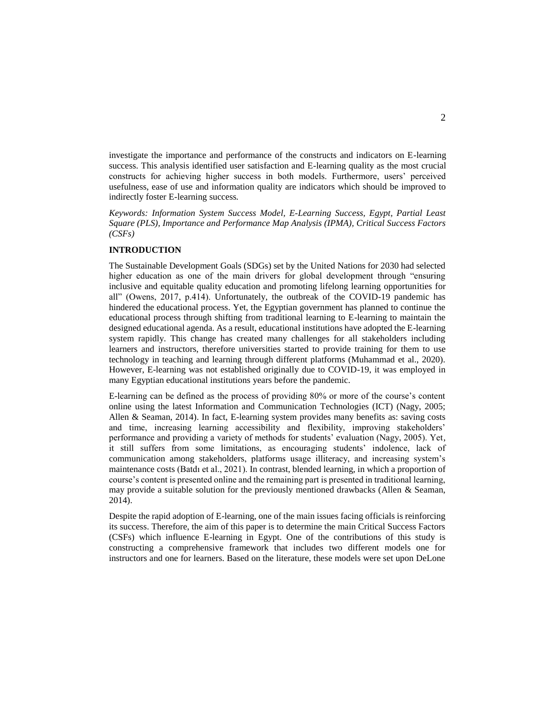investigate the importance and performance of the constructs and indicators on E-learning success. This analysis identified user satisfaction and E-learning quality as the most crucial constructs for achieving higher success in both models. Furthermore, users' perceived usefulness, ease of use and information quality are indicators which should be improved to indirectly foster E-learning success*.*

*Keywords: Information System Success Model, E-Learning Success, Egypt, Partial Least Square (PLS), Importance and Performance Map Analysis (IPMA), Critical Success Factors (CSFs)*

## **INTRODUCTION**

The Sustainable Development Goals (SDGs) set by the United Nations for 2030 had selected higher education as one of the main drivers for global development through "ensuring inclusive and equitable quality education and promoting lifelong learning opportunities for all" (Owens, 2017, p.414). Unfortunately, the outbreak of the COVID-19 pandemic has hindered the educational process. Yet, the Egyptian government has planned to continue the educational process through shifting from traditional learning to E-learning to maintain the designed educational agenda. As a result, educational institutions have adopted the E-learning system rapidly. This change has created many challenges for all stakeholders including learners and instructors, therefore universities started to provide training for them to use technology in teaching and learning through different platforms (Muhammad et al., 2020). However, E-learning was not established originally due to COVID-19, it was employed in many Egyptian educational institutions years before the pandemic.

E-learning can be defined as the process of providing 80% or more of the course's content online using the latest Information and Communication Technologies (ICT) (Nagy, 2005; Allen & Seaman, 2014). In fact, E-learning system provides many benefits as: saving costs and time, increasing learning accessibility and flexibility, improving stakeholders' performance and providing a variety of methods for students' evaluation (Nagy, 2005). Yet, it still suffers from some limitations, as encouraging students' indolence, lack of communication among stakeholders, platforms usage illiteracy, and increasing system's maintenance costs (Batdı et al., 2021). In contrast, blended learning, in which a proportion of course's content is presented online and the remaining part is presented in traditional learning, may provide a suitable solution for the previously mentioned drawbacks (Allen  $\&$  Seaman, 2014).

Despite the rapid adoption of E-learning, one of the main issues facing officials is reinforcing its success. Therefore, the aim of this paper is to determine the main Critical Success Factors (CSFs) which influence E-learning in Egypt. One of the contributions of this study is constructing a comprehensive framework that includes two different models one for instructors and one for learners. Based on the literature, these models were set upon DeLone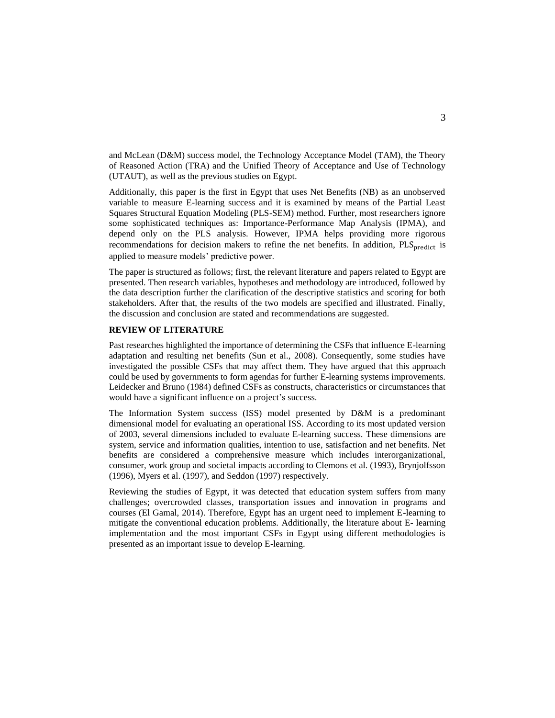and McLean (D&M) success model, the Technology Acceptance Model (TAM), the Theory of Reasoned Action (TRA) and the Unified Theory of Acceptance and Use of Technology (UTAUT), as well as the previous studies on Egypt.

Additionally, this paper is the first in Egypt that uses Net Benefits (NB) as an unobserved variable to measure E-learning success and it is examined by means of the Partial Least Squares Structural Equation Modeling (PLS-SEM) method. Further, most researchers ignore some sophisticated techniques as: Importance-Performance Map Analysis (IPMA), and depend only on the PLS analysis. However, IPMA helps providing more rigorous recommendations for decision makers to refine the net benefits. In addition,  $PLS<sub>nredict</sub>$  is applied to measure models' predictive power.

The paper is structured as follows; first, the relevant literature and papers related to Egypt are presented. Then research variables, hypotheses and methodology are introduced, followed by the data description further the clarification of the descriptive statistics and scoring for both stakeholders. After that, the results of the two models are specified and illustrated. Finally, the discussion and conclusion are stated and recommendations are suggested.

# **REVIEW OF LITERATURE**

Past researches highlighted the importance of determining the CSFs that influence E-learning adaptation and resulting net benefits (Sun et al., 2008). Consequently, some studies have investigated the possible CSFs that may affect them. They have argued that this approach could be used by governments to form agendas for further E-learning systems improvements. Leidecker and Bruno (1984) defined CSFs as constructs, characteristics or circumstances that would have a significant influence on a project's success.

The Information System success (ISS) model presented by D&M is a predominant dimensional model for evaluating an operational ISS. According to its most updated version of 2003, several dimensions included to evaluate E-learning success. These dimensions are system, service and information qualities, intention to use, satisfaction and net benefits. Net benefits are considered a comprehensive measure which includes interorganizational, consumer, work group and societal impacts according to Clemons et al. (1993), Brynjolfsson (1996), Myers et al. (1997), and Seddon (1997) respectively.

Reviewing the studies of Egypt, it was detected that education system suffers from many challenges; overcrowded classes, transportation issues and innovation in programs and courses (El Gamal, 2014). Therefore, Egypt has an urgent need to implement E-learning to mitigate the conventional education problems. Additionally, the literature about E- learning implementation and the most important CSFs in Egypt using different methodologies is presented as an important issue to develop E-learning.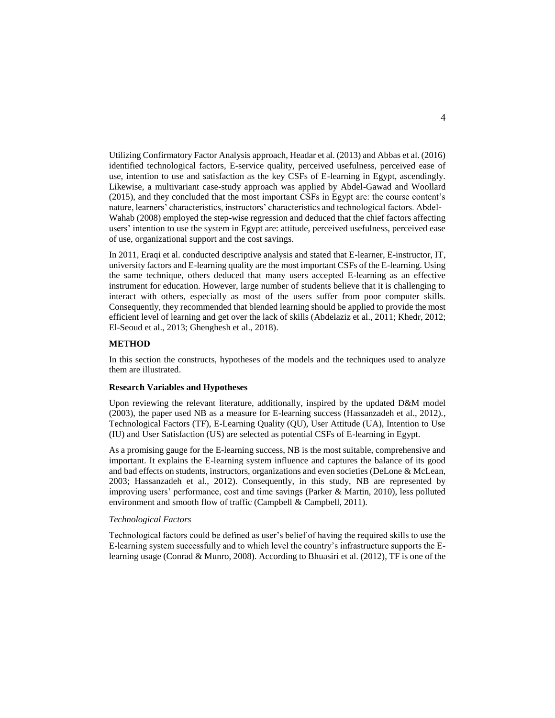Utilizing Confirmatory Factor Analysis approach, Headar et al. (2013) and Abbas et al. (2016) identified technological factors, E-service quality, perceived usefulness, perceived ease of use, intention to use and satisfaction as the key CSFs of E-learning in Egypt, ascendingly. Likewise, a multivariant case-study approach was applied by Abdel-Gawad and Woollard (2015), and they concluded that the most important CSFs in Egypt are: the course content's nature, learners' characteristics, instructors' characteristics and technological factors. Abdel‐ Wahab (2008) employed the step-wise regression and deduced that the chief factors affecting users' intention to use the system in Egypt are: attitude, perceived usefulness, perceived ease of use, organizational support and the cost savings.

In 2011, Eraqi et al. conducted descriptive analysis and stated that E-learner, E-instructor, IT, university factors and E-learning quality are the most important CSFs of the E-learning. Using the same technique, others deduced that many users accepted E-learning as an effective instrument for education. However, large number of students believe that it is challenging to interact with others, especially as most of the users suffer from poor computer skills. Consequently, they recommended that blended learning should be applied to provide the most efficient level of learning and get over the lack of skills (Abdelaziz et al., 2011; Khedr, 2012; El-Seoud et al., 2013; Ghenghesh et al., 2018).

#### **METHOD**

In this section the constructs, hypotheses of the models and the techniques used to analyze them are illustrated.

#### **Research Variables and Hypotheses**

Upon reviewing the relevant literature, additionally, inspired by the updated D&M model (2003), the paper used NB as a measure for E-learning success (Hassanzadeh et al., 2012)., Technological Factors (TF), E-Learning Quality (QU), User Attitude (UA), Intention to Use (IU) and User Satisfaction (US) are selected as potential CSFs of E-learning in Egypt.

As a promising gauge for the E-learning success, NB is the most suitable, comprehensive and important. It explains the E-learning system influence and captures the balance of its good and bad effects on students, instructors, organizations and even societies (DeLone & McLean, 2003; Hassanzadeh et al., 2012). Consequently, in this study, NB are represented by improving users' performance, cost and time savings (Parker & Martin, 2010), less polluted environment and smooth flow of traffic (Campbell & Campbell, 2011).

#### *Technological Factors*

Technological factors could be defined as user's belief of having the required skills to use the E-learning system successfully and to which level the country's infrastructure supports the Elearning usage (Conrad & Munro, 2008). According to Bhuasiri et al. (2012), TF is one of the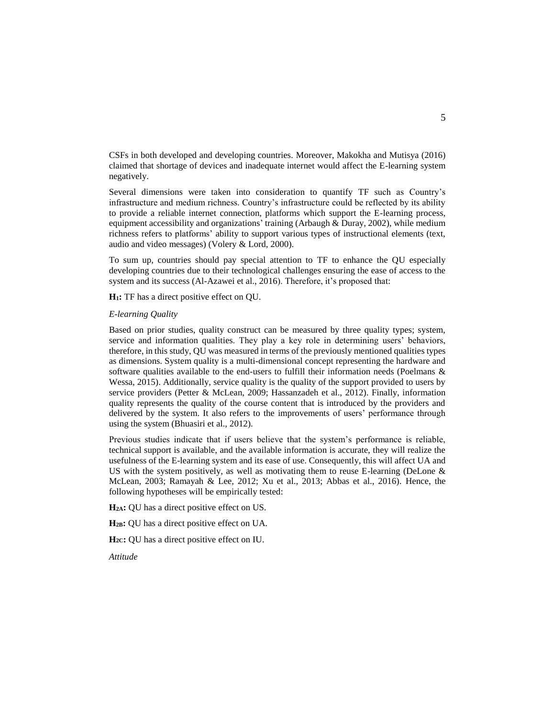CSFs in both developed and developing countries. Moreover, Makokha and Mutisya (2016) claimed that shortage of devices and inadequate internet would affect the E-learning system negatively.

Several dimensions were taken into consideration to quantify TF such as Country's infrastructure and medium richness. Country's infrastructure could be reflected by its ability to provide a reliable internet connection, platforms which support the E-learning process, equipment accessibility and organizations' training (Arbaugh & Duray, 2002), while medium richness refers to platforms' ability to support various types of instructional elements (text, audio and video messages) (Volery & Lord, 2000).

To sum up, countries should pay special attention to TF to enhance the QU especially developing countries due to their technological challenges ensuring the ease of access to the system and its success (Al-Azawei et al., 2016). Therefore, it's proposed that:

**H1:** TF has a direct positive effect on QU.

### *E-learning Quality*

Based on prior studies, quality construct can be measured by three quality types; system, service and information qualities. They play a key role in determining users' behaviors, therefore, in this study, QU was measured in terms of the previously mentioned qualities types as dimensions. System quality is a multi-dimensional concept representing the hardware and software qualities available to the end-users to fulfill their information needs (Poelmans  $\&$ Wessa, 2015). Additionally, service quality is the quality of the support provided to users by service providers (Petter & McLean, 2009; Hassanzadeh et al., 2012). Finally, information quality represents the quality of the course content that is introduced by the providers and delivered by the system. It also refers to the improvements of users' performance through using the system (Bhuasiri et al., 2012).

Previous studies indicate that if users believe that the system's performance is reliable, technical support is available, and the available information is accurate, they will realize the usefulness of the E-learning system and its ease of use. Consequently, this will affect UA and US with the system positively, as well as motivating them to reuse E-learning (DeLone  $\&$ McLean, 2003; Ramayah & Lee, 2012; Xu et al., 2013; Abbas et al., 2016). Hence, the following hypotheses will be empirically tested:

**H2A:** QU has a direct positive effect on US.

**H2B:** QU has a direct positive effect on UA.

**H2C:** QU has a direct positive effect on IU.

*Attitude*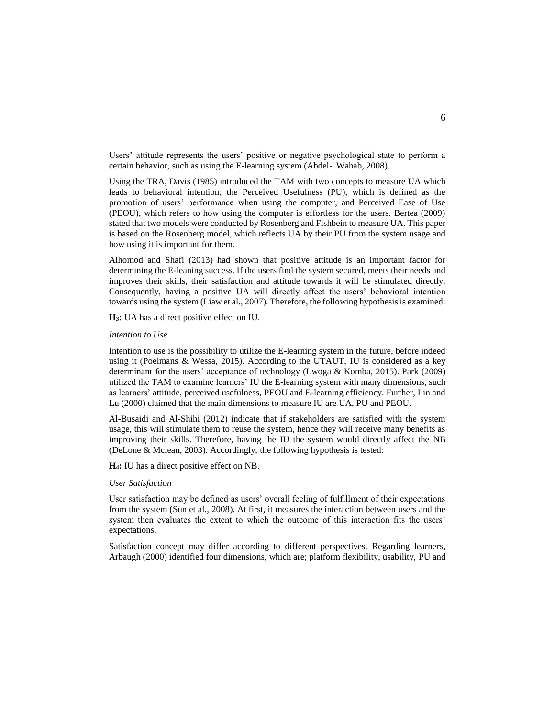Users' attitude represents the users' positive or negative psychological state to perform a certain behavior, such as using the E-learning system (Abdel‐ Wahab, 2008).

Using the TRA, Davis (1985) introduced the TAM with two concepts to measure UA which leads to behavioral intention; the Perceived Usefulness (PU), which is defined as the promotion of users' performance when using the computer, and Perceived Ease of Use (PEOU), which refers to how using the computer is effortless for the users. Bertea (2009) stated that two models were conducted by Rosenberg and Fishbein to measure UA. This paper is based on the Rosenberg model, which reflects UA by their PU from the system usage and how using it is important for them.

Alhomod and Shafi (2013) had shown that positive attitude is an important factor for determining the E-leaning success. If the users find the system secured, meets their needs and improves their skills, their satisfaction and attitude towards it will be stimulated directly. Consequently, having a positive UA will directly affect the users' behavioral intention towards using the system (Liaw et al., 2007). Therefore, the following hypothesis is examined:

**H3:** UA has a direct positive effect on IU.

#### *Intention to Use*

Intention to use is the possibility to utilize the E-learning system in the future, before indeed using it (Poelmans & Wessa, 2015). According to the UTAUT, IU is considered as a key determinant for the users' acceptance of technology (Lwoga & Komba, 2015). Park (2009) utilized the TAM to examine learners' IU the E-learning system with many dimensions, such as learners' attitude, perceived usefulness, PEOU and E-learning efficiency. Further, Lin and Lu (2000) claimed that the main dimensions to measure IU are UA, PU and PEOU.

Al-Busaidi and Al-Shihi (2012) indicate that if stakeholders are satisfied with the system usage, this will stimulate them to reuse the system, hence they will receive many benefits as improving their skills. Therefore, having the IU the system would directly affect the NB (DeLone & Mclean, 2003). Accordingly, the following hypothesis is tested:

**H4:** IU has a direct positive effect on NB.

#### *User Satisfaction*

User satisfaction may be defined as users' overall feeling of fulfillment of their expectations from the system (Sun et al., 2008). At first, it measures the interaction between users and the system then evaluates the extent to which the outcome of this interaction fits the users' expectations.

Satisfaction concept may differ according to different perspectives. Regarding learners, Arbaugh (2000) identified four dimensions, which are; platform flexibility, usability, PU and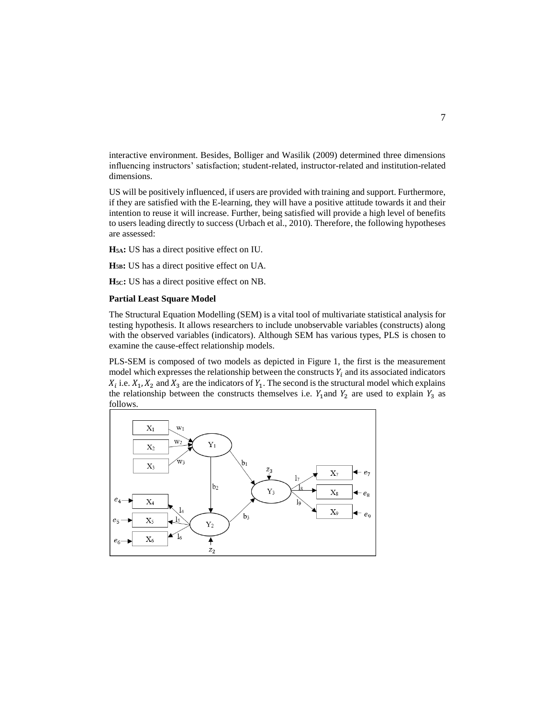interactive environment. Besides, Bolliger and Wasilik (2009) determined three dimensions influencing instructors' satisfaction; student-related, instructor-related and institution-related dimensions.

US will be positively influenced, if users are provided with training and support. Furthermore, if they are satisfied with the E-learning, they will have a positive attitude towards it and their intention to reuse it will increase. Further, being satisfied will provide a high level of benefits to users leading directly to success (Urbach et al., 2010). Therefore, the following hypotheses are assessed:

**H5A:** US has a direct positive effect on IU.

**H5B:** US has a direct positive effect on UA.

**H5C:** US has a direct positive effect on NB.

## **Partial Least Square Model**

The Structural Equation Modelling (SEM) is a vital tool of multivariate statistical analysis for testing hypothesis. It allows researchers to include unobservable variables (constructs) along with the observed variables (indicators). Although SEM has various types, PLS is chosen to examine the cause-effect relationship models.

PLS-SEM is composed of two models as depicted in Figure 1, the first is the measurement model which expresses the relationship between the constructs  $Y_i$  and its associated indicators  $X_i$  i.e.  $X_1, X_2$  and  $X_3$  are the indicators of  $Y_1$ . The second is the structural model which explains the relationship between the constructs themselves i.e.  $Y_1$  and  $Y_2$  are used to explain  $Y_3$  as follows.

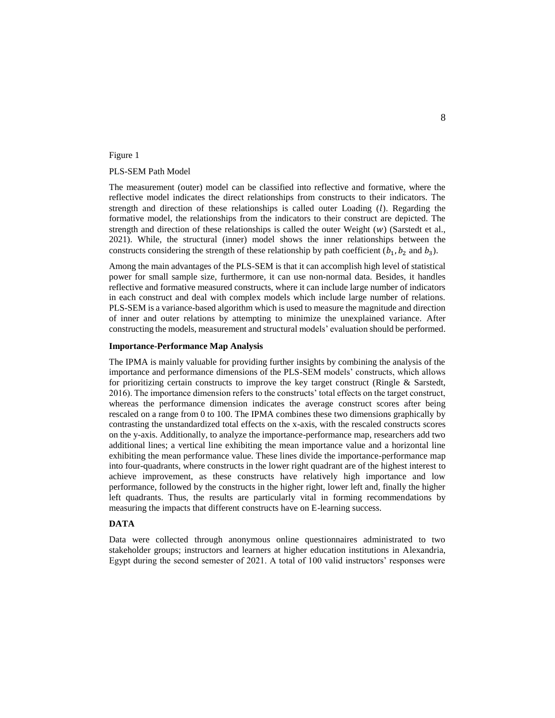## Figure 1

## PLS-SEM Path Model

The measurement (outer) model can be classified into reflective and formative, where the reflective model indicates the direct relationships from constructs to their indicators. The strength and direction of these relationships is called outer Loading  $(l)$ . Regarding the formative model, the relationships from the indicators to their construct are depicted. The strength and direction of these relationships is called the outer Weight  $(w)$  (Sarstedt et al., 2021). While, the structural (inner) model shows the inner relationships between the constructs considering the strength of these relationship by path coefficient  $(b_1, b_2 \text{ and } b_3)$ .

Among the main advantages of the PLS-SEM is that it can accomplish high level of statistical power for small sample size, furthermore, it can use non-normal data. Besides, it handles reflective and formative measured constructs, where it can include large number of indicators in each construct and deal with complex models which include large number of relations. PLS-SEM is a variance-based algorithm which is used to measure the magnitude and direction of inner and outer relations by attempting to minimize the unexplained variance. After constructing the models, measurement and structural models' evaluation should be performed.

#### **Importance-Performance Map Analysis**

The IPMA is mainly valuable for providing further insights by combining the analysis of the importance and performance dimensions of the PLS-SEM models' constructs, which allows for prioritizing certain constructs to improve the key target construct (Ringle & Sarstedt, 2016). The importance dimension refers to the constructs' total effects on the target construct, whereas the performance dimension indicates the average construct scores after being rescaled on a range from 0 to 100. The IPMA combines these two dimensions graphically by contrasting the unstandardized total effects on the x-axis, with the rescaled constructs scores on the y-axis. Additionally, to analyze the importance-performance map, researchers add two additional lines; a vertical line exhibiting the mean importance value and a horizontal line exhibiting the mean performance value. These lines divide the importance-performance map into four-quadrants, where constructs in the lower right quadrant are of the highest interest to achieve improvement, as these constructs have relatively high importance and low performance, followed by the constructs in the higher right, lower left and, finally the higher left quadrants. Thus, the results are particularly vital in forming recommendations by measuring the impacts that different constructs have on E-learning success.

## **DATA**

Data were collected through anonymous online questionnaires administrated to two stakeholder groups; instructors and learners at higher education institutions in Alexandria, Egypt during the second semester of 2021. A total of 100 valid instructors' responses were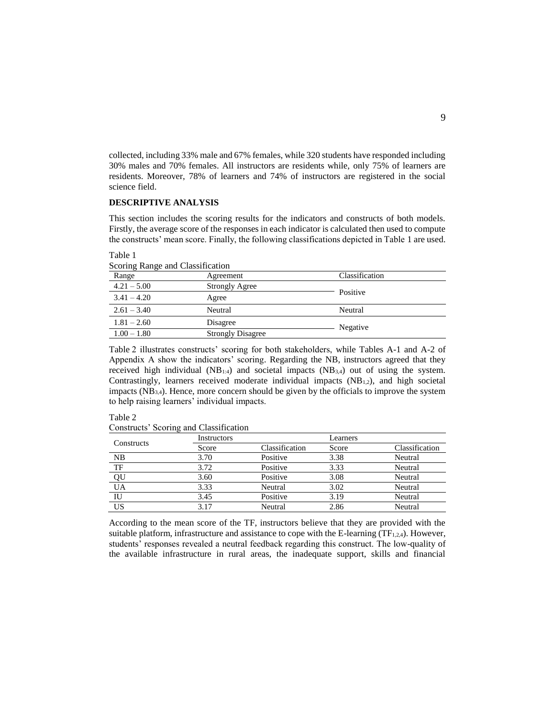collected, including 33% male and 67% females, while 320 students have responded including 30% males and 70% females. All instructors are residents while, only 75% of learners are residents. Moreover, 78% of learners and 74% of instructors are registered in the social science field.

## **DESCRIPTIVE ANALYSIS**

This section includes the scoring results for the indicators and constructs of both models. Firstly, the average score of the responses in each indicator is calculated then used to compute the constructs' mean score. Finally, the following classifications depicted in Table 1 are used.

| Scoring Range and Classification |                |
|----------------------------------|----------------|
| Agreement                        | Classification |
| <b>Strongly Agree</b>            |                |
| Agree                            | Positive       |
| Neutral                          | Neutral        |
| Disagree                         | Negative       |
| <b>Strongly Disagree</b>         |                |
|                                  |                |

Table 1 and Classification

Table 2 illustrates constructs' scoring for both stakeholders, while Tables A-1 and A-2 of Appendix A show the indicators' scoring. Regarding the NB, instructors agreed that they received high individual  $(NB_{1:4})$  and societal impacts  $(NB_{3:4})$  out of using the system. Contrastingly, learners received moderate individual impacts  $(NB_{1,2})$ , and high societal impacts (NB3,4). Hence, more concern should be given by the officials to improve the system to help raising learners' individual impacts.

Table 2

Constructs' Scoring and Classification

|            | Instructors |                | Learners |                |
|------------|-------------|----------------|----------|----------------|
| Constructs | Score       | Classification | Score    | Classification |
| NB         | 3.70        | Positive       | 3.38     | Neutral        |
| TF         | 3.72        | Positive       | 3.33     | Neutral        |
| QU         | 3.60        | Positive       | 3.08     | Neutral        |
| UA         | 3.33        | Neutral        | 3.02     | Neutral        |
| IU         | 3.45        | Positive       | 3.19     | Neutral        |
| US         | 3.17        | Neutral        | 2.86     | Neutral        |

According to the mean score of the TF, instructors believe that they are provided with the suitable platform, infrastructure and assistance to cope with the E-learning  $(TF_{1,2,4})$ . However, students' responses revealed a neutral feedback regarding this construct. The low-quality of the available infrastructure in rural areas, the inadequate support, skills and financial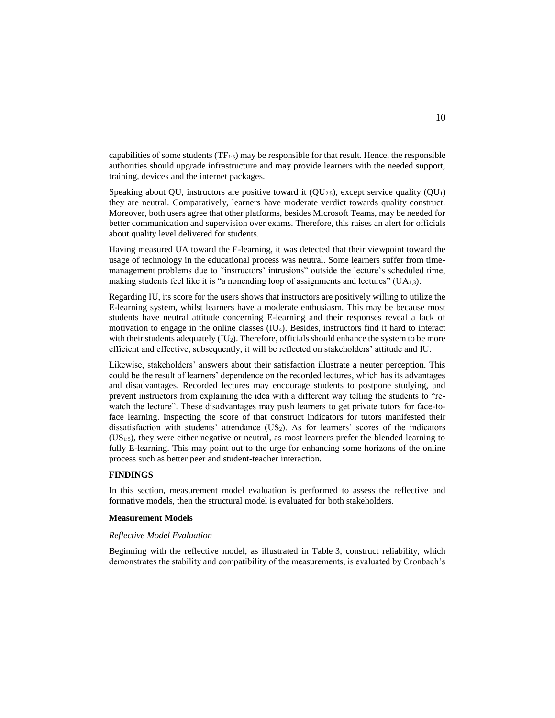capabilities of some students  $(TF_{1:5})$  may be responsible for that result. Hence, the responsible authorities should upgrade infrastructure and may provide learners with the needed support, training, devices and the internet packages.

Speaking about QU, instructors are positive toward it  $(QU<sub>2:5</sub>)$ , except service quality  $(QU<sub>1</sub>)$ they are neutral. Comparatively, learners have moderate verdict towards quality construct. Moreover, both users agree that other platforms, besides Microsoft Teams, may be needed for better communication and supervision over exams. Therefore, this raises an alert for officials about quality level delivered for students.

Having measured UA toward the E-learning, it was detected that their viewpoint toward the usage of technology in the educational process was neutral. Some learners suffer from timemanagement problems due to "instructors' intrusions" outside the lecture's scheduled time, making students feel like it is "a nonending loop of assignments and lectures"  $(UA_{1,3})$ .

Regarding IU, its score for the users shows that instructors are positively willing to utilize the E-learning system, whilst learners have a moderate enthusiasm. This may be because most students have neutral attitude concerning E-learning and their responses reveal a lack of motivation to engage in the online classes (IU4). Besides, instructors find it hard to interact with their students adequately  $(IU_2)$ . Therefore, officials should enhance the system to be more efficient and effective, subsequently, it will be reflected on stakeholders' attitude and IU.

Likewise, stakeholders' answers about their satisfaction illustrate a neuter perception. This could be the result of learners' dependence on the recorded lectures, which has its advantages and disadvantages. Recorded lectures may encourage students to postpone studying, and prevent instructors from explaining the idea with a different way telling the students to "rewatch the lecture". These disadvantages may push learners to get private tutors for face-toface learning. Inspecting the score of that construct indicators for tutors manifested their dissatisfaction with students' attendance (US2). As for learners' scores of the indicators  $(US<sub>1:5</sub>)$ , they were either negative or neutral, as most learners prefer the blended learning to fully E-learning. This may point out to the urge for enhancing some horizons of the online process such as better peer and student-teacher interaction.

## **FINDINGS**

In this section, measurement model evaluation is performed to assess the reflective and formative models, then the structural model is evaluated for both stakeholders.

#### **Measurement Models**

#### *Reflective Model Evaluation*

Beginning with the reflective model, as illustrated in Table 3, construct reliability, which demonstrates the stability and compatibility of the measurements, is evaluated by Cronbach's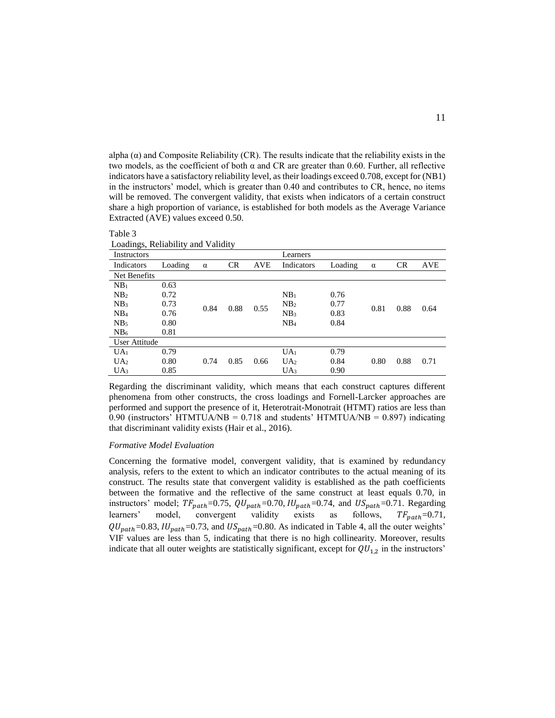alpha  $(\alpha)$  and Composite Reliability (CR). The results indicate that the reliability exists in the two models, as the coefficient of both  $\alpha$  and CR are greater than 0.60. Further, all reflective indicators have a satisfactory reliability level, as their loadings exceed 0.708, except for (NB1) in the instructors' model, which is greater than 0.40 and contributes to CR, hence, no items will be removed. The convergent validity, that exists when indicators of a certain construct share a high proportion of variance, is established for both models as the Average Variance Extracted (AVE) values exceed 0.50.

| Loadings, Reliability and Validity |         |          |           |            |                 |         |          |      |            |
|------------------------------------|---------|----------|-----------|------------|-----------------|---------|----------|------|------------|
| Instructors                        |         |          |           |            | Learners        |         |          |      |            |
| Indicators                         | Loading | $\alpha$ | <b>CR</b> | <b>AVE</b> | Indicators      | Loading | $\alpha$ | CR   | <b>AVE</b> |
| Net Benefits                       |         |          |           |            |                 |         |          |      |            |
| NB <sub>1</sub>                    | 0.63    |          |           |            |                 |         |          |      |            |
| NB <sub>2</sub>                    | 0.72    |          |           |            | NB <sub>1</sub> | 0.76    |          |      |            |
| NB <sub>3</sub>                    | 0.73    | 0.84     | 0.88      | 0.55       | NB <sub>2</sub> | 0.77    | 0.81     | 0.88 | 0.64       |
| NB <sub>4</sub>                    | 0.76    |          |           |            | NB <sub>3</sub> | 0.83    |          |      |            |
| NB <sub>5</sub>                    | 0.80    |          |           |            | NB <sub>4</sub> | 0.84    |          |      |            |
| NB <sub>6</sub>                    | 0.81    |          |           |            |                 |         |          |      |            |
| User Attitude                      |         |          |           |            |                 |         |          |      |            |
| UA <sub>1</sub>                    | 0.79    |          |           |            | UA <sub>1</sub> | 0.79    |          |      |            |
| UA <sub>2</sub>                    | 0.80    | 0.74     | 0.85      | 0.66       | UA <sub>2</sub> | 0.84    | 0.80     | 0.88 | 0.71       |
| UA <sub>3</sub>                    | 0.85    |          |           |            | UA <sub>3</sub> | 0.90    |          |      |            |

Regarding the discriminant validity, which means that each construct captures different phenomena from other constructs, the cross loadings and Fornell-Larcker approaches are performed and support the presence of it, Heterotrait-Monotrait (HTMT) ratios are less than 0.90 (instructors' HTMTUA/NB = 0.718 and students' HTMTUA/NB = 0.897) indicating that discriminant validity exists (Hair et al., 2016).

#### *Formative Model Evaluation*

Table 3

Concerning the formative model, convergent validity, that is examined by redundancy analysis, refers to the extent to which an indicator contributes to the actual meaning of its construct. The results state that convergent validity is established as the path coefficients between the formative and the reflective of the same construct at least equals 0.70, in instructors' model;  $TF_{path} = 0.75$ ,  $QU_{path} = 0.70$ ,  $IU_{path} = 0.74$ , and  $US_{path} = 0.71$ . Regarding learners' model, convergent validity exists as follows,  $TF_{path}=0.71$ ,  $QU_{path}$ =0.83,  $IU_{path}$ =0.73, and  $US_{path}$ =0.80. As indicated in Table 4, all the outer weights' VIF values are less than 5, indicating that there is no high collinearity. Moreover, results indicate that all outer weights are statistically significant, except for  $QU_{1,2}$  in the instructors'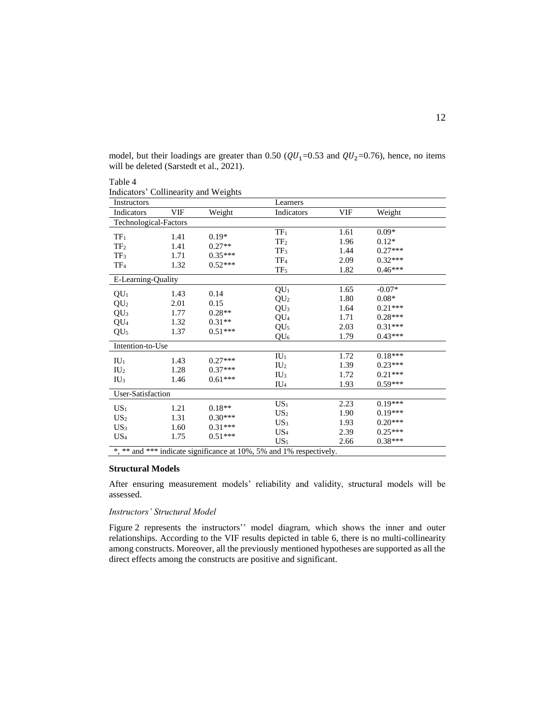| model, but their loadings are greater than 0.50 ( $QU_1$ =0.53 and $QU_2$ =0.76), hence, no items |  |  |
|---------------------------------------------------------------------------------------------------|--|--|
| will be deleted (Sarstedt et al., 2021).                                                          |  |  |

| Indicators' Collinearity and Weights |            |           |                                                                     |            |           |  |
|--------------------------------------|------------|-----------|---------------------------------------------------------------------|------------|-----------|--|
| Instructors                          |            |           | Learners                                                            |            |           |  |
| Indicators                           | <b>VIF</b> | Weight    | Indicators                                                          | <b>VIF</b> | Weight    |  |
| Technological-Factors                |            |           |                                                                     |            |           |  |
| TF <sub>1</sub>                      | 1.41       | $0.19*$   | TF <sub>1</sub>                                                     | 1.61       | $0.09*$   |  |
| TF <sub>2</sub>                      | 1.41       | $0.27**$  | TF <sub>2</sub>                                                     | 1.96       | $0.12*$   |  |
|                                      |            | $0.35***$ | TF <sub>3</sub>                                                     | 1.44       | $0.27***$ |  |
| TF <sub>3</sub>                      | 1.71       |           | TF <sub>4</sub>                                                     | 2.09       | $0.32***$ |  |
| $TF_4$                               | 1.32       | $0.52***$ | TF <sub>5</sub>                                                     | 1.82       | $0.46***$ |  |
| E-Learning-Quality                   |            |           |                                                                     |            |           |  |
|                                      | 1.43       | 0.14      | QU <sub>1</sub>                                                     | 1.65       | $-0.07*$  |  |
| QU <sub>1</sub>                      |            |           | QU <sub>2</sub>                                                     | 1.80       | $0.08*$   |  |
| QU <sub>2</sub>                      | 2.01       | 0.15      | QU <sub>3</sub>                                                     | 1.64       | $0.21***$ |  |
| QU <sub>3</sub>                      | 1.77       | $0.28**$  | QU <sub>4</sub>                                                     | 1.71       | $0.28***$ |  |
| QU <sub>4</sub>                      | 1.32       | $0.31**$  | QU <sub>5</sub>                                                     | 2.03       | $0.31***$ |  |
| QU <sub>5</sub>                      | 1.37       | $0.51***$ | QU <sub>6</sub>                                                     | 1.79       | $0.43***$ |  |
| Intention-to-Use                     |            |           |                                                                     |            |           |  |
|                                      | 1.43       | $0.27***$ | $IU_1$                                                              | 1.72       | $0.18***$ |  |
| $IU_1$                               |            | $0.37***$ | IU <sub>2</sub>                                                     | 1.39       | $0.23***$ |  |
| IU <sub>2</sub>                      | 1.28       |           | IU <sub>3</sub>                                                     | 1.72       | $0.21***$ |  |
| IU <sub>3</sub>                      | 1.46       | $0.61***$ | $IU_4$                                                              | 1.93       | $0.59***$ |  |
| User-Satisfaction                    |            |           |                                                                     |            |           |  |
|                                      | 1.21       | $0.18**$  | US <sub>1</sub>                                                     | 2.23       | $0.19***$ |  |
| $US_1$                               |            |           | US <sub>2</sub>                                                     | 1.90       | $0.19***$ |  |
| US <sub>2</sub>                      | 1.31       | $0.30***$ | US <sub>3</sub>                                                     | 1.93       | $0.20***$ |  |
| US <sub>3</sub>                      | 1.60       | $0.31***$ | US <sub>4</sub>                                                     | 2.39       | $0.25***$ |  |
| $US_4$                               | 1.75       | $0.51***$ | US <sub>5</sub>                                                     | 2.66       | $0.38***$ |  |
|                                      |            |           | *, ** and *** indicate significance at 10%, 5% and 1% respectively. |            |           |  |

# **Structural Models**

Table 4

After ensuring measurement models' reliability and validity, structural models will be assessed.

### *Instructors' Structural Model*

Figure 2 represents the instructors'' model diagram, which shows the inner and outer relationships. According to the VIF results depicted in table 6, there is no multi-collinearity among constructs. Moreover, all the previously mentioned hypotheses are supported as all the direct effects among the constructs are positive and significant.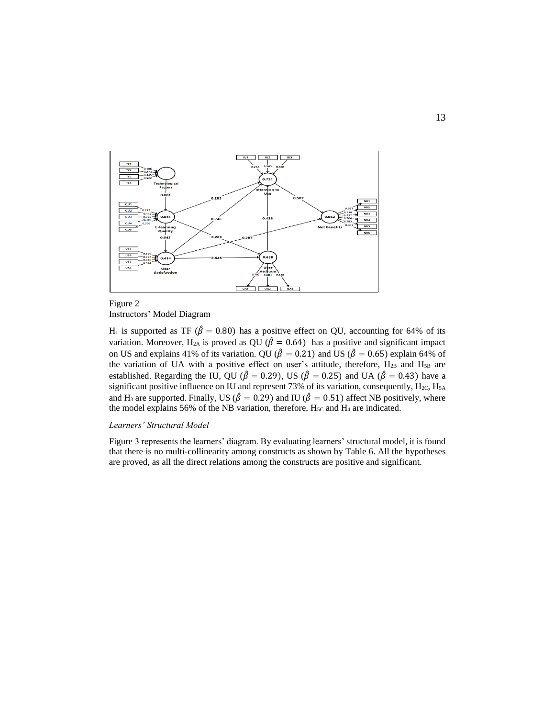

## Figure 2 Instructors' Model Diagram

H<sub>1</sub> is supported as TF ( $\hat{\beta} = 0.80$ ) has a positive effect on QU, accounting for 64% of its variation. Moreover, H<sub>2A</sub> is proved as QU ( $\hat{\beta} = 0.64$ ) has a positive and significant impact on US and explains 41% of its variation. QU ( $\hat{\beta} = 0.21$ ) and US ( $\hat{\beta} = 0.65$ ) explain 64% of the variation of UA with a positive effect on user's attitude, therefore,  $H_{2B}$  and  $H_{5B}$  are established. Regarding the IU, QU ( $\hat{\beta} = 0.29$ ), US ( $\hat{\beta} = 0.25$ ) and UA ( $\hat{\beta} = 0.43$ ) have a significant positive influence on IU and represent 73% of its variation, consequently, H<sub>2C</sub>, H<sub>5A</sub> and H<sub>3</sub> are supported. Finally, US ( $\hat{\beta} = 0.29$ ) and IU ( $\hat{\beta} = 0.51$ ) affect NB positively, where the model explains 56% of the NB variation, therefore,  $H_{5C}$  and  $H_4$  are indicated.

## *Learners' Structural Model*

Figure 3 represents the learners' diagram. By evaluating learners' structural model, it is found that there is no multi-collinearity among constructs as shown by Table 6. All the hypotheses are proved, as all the direct relations among the constructs are positive and significant.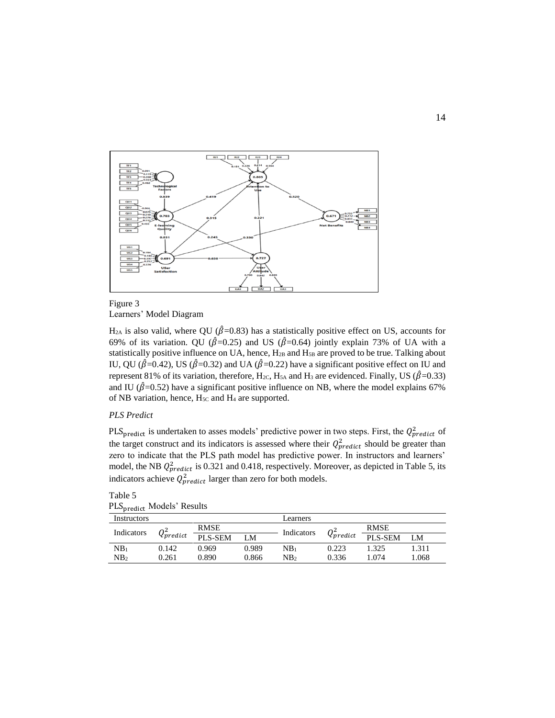

## Figure 3 Learners' Model Diagram

 $H<sub>2A</sub>$  is also valid, where QU ( $\hat{\beta}$ =0.83) has a statistically positive effect on US, accounts for 69% of its variation. QU ( $\hat{\beta}$ =0.25) and US ( $\hat{\beta}$ =0.64) jointly explain 73% of UA with a statistically positive influence on UA, hence, H<sub>2B</sub> and H<sub>5B</sub> are proved to be true. Talking about IU, QU ( $\hat{\beta}$ =0.42), US ( $\hat{\beta}$ =0.32) and UA ( $\hat{\beta}$ =0.22) have a significant positive effect on IU and represent 81% of its variation, therefore, H<sub>2C</sub>, H<sub>5A</sub> and H<sub>3</sub> are evidenced. Finally, US ( $\hat{\beta}$ =0.33) and IU ( $\hat{\beta}$ =0.52) have a significant positive influence on NB, where the model explains 67% of NB variation, hence, H<sub>5C</sub> and H<sub>4</sub> are supported.

## *PLS Predict*

PLS<sub>predict</sub> is undertaken to asses models' predictive power in two steps. First, the  $Q_{predict}^2$  of the target construct and its indicators is assessed where their  $Q_{predict}^2$  should be greater than zero to indicate that the PLS path model has predictive power. In instructors and learners' model, the NB  $Q_{predict}^2$  is 0.321 and 0.418, respectively. Moreover, as depicted in Table 5, its indicators achieve  $Q_{predict}^2$  larger than zero for both models.

| PLS <sub>predict</sub> Models' Results |       |             |       |            |                 |             |       |
|----------------------------------------|-------|-------------|-------|------------|-----------------|-------------|-------|
| Instructors                            |       |             |       | Learners   |                 |             |       |
| $Q_{predict}^2$<br>Indicators          |       | <b>RMSE</b> |       | Indicators |                 | <b>RMSE</b> |       |
|                                        |       | PLS-SEM     | LM    |            | $Q_{predict}^2$ | PLS-SEM     | LM    |
| NB <sub>1</sub>                        | 0.142 | 0.969       | 0.989 | NB1        | 0.223           | 1.325       | 1.311 |
| NB <sub>2</sub>                        | 0.261 | 0.890       | 0.866 | NB2        | 0.336           | 1.074       | 1.068 |

# Table 5 PLS<sub>predict</sub> Models' Results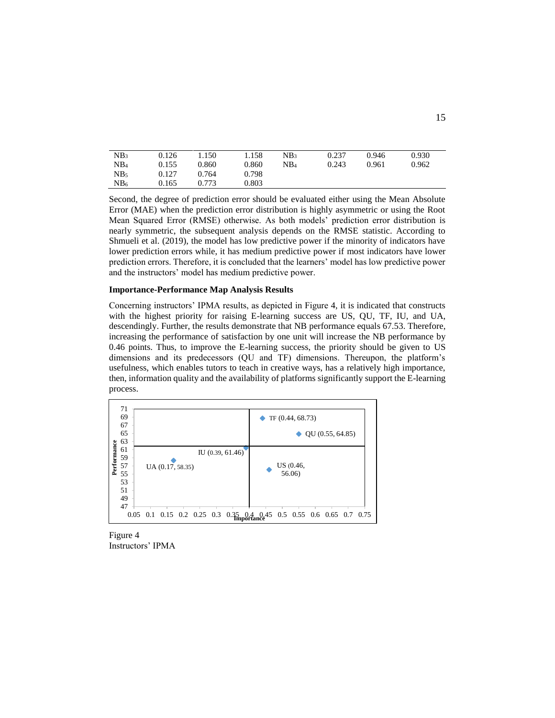| NB <sub>3</sub> | 0.126 | 1.150 | 1.158 | NB3             | 0.237 | 0.946 | 0.930 |
|-----------------|-------|-------|-------|-----------------|-------|-------|-------|
| NB <sub>4</sub> | 0.155 | 0.860 | 0.860 | NB <sub>4</sub> | 0.243 | 0.961 | 0.962 |
| NB <sub>5</sub> | 0.127 | 0.764 | 0.798 |                 |       |       |       |
| NB <sub>6</sub> | 0.165 | 0.773 | 0.803 |                 |       |       |       |

Second, the degree of prediction error should be evaluated either using the Mean Absolute Error (MAE) when the prediction error distribution is highly asymmetric or using the Root Mean Squared Error (RMSE) otherwise. As both models' prediction error distribution is nearly symmetric, the subsequent analysis depends on the RMSE statistic. According to Shmueli et al. (2019), the model has low predictive power if the minority of indicators have lower prediction errors while, it has medium predictive power if most indicators have lower prediction errors. Therefore, it is concluded that the learners' model has low predictive power and the instructors' model has medium predictive power.

#### **Importance-Performance Map Analysis Results**

Concerning instructors' IPMA results, as depicted in Figure 4, it is indicated that constructs with the highest priority for raising E-learning success are US, QU, TF, IU, and UA, descendingly. Further, the results demonstrate that NB performance equals 67.53. Therefore, increasing the performance of satisfaction by one unit will increase the NB performance by 0.46 points. Thus, to improve the E-learning success, the priority should be given to US dimensions and its predecessors (QU and TF) dimensions. Thereupon, the platform's usefulness, which enables tutors to teach in creative ways, has a relatively high importance, then, information quality and the availability of platforms significantly support the E-learning process.

| 71<br>69<br>67<br>65<br>63                                  |                                      | ٠                             | TF (0.44, 68.73)    | QU(0.55, 64.85)         |      |
|-------------------------------------------------------------|--------------------------------------|-------------------------------|---------------------|-------------------------|------|
| Performance<br>61<br>59<br>57<br>55<br>53<br>51<br>49<br>47 | IU (0.39, 61.46)<br>UA (0.17, 58.35) |                               | US (0.46,<br>56.06) |                         |      |
| 0.05                                                        | $0.15$ $0.2$ $0.25$ $0.3$<br>0.1     | $0.35_{\rm mpfdrance}^{0.45}$ |                     | $0.5$ 0.55 0.6 0.65 0.7 | 0.75 |

Figure 4 Instructors' IPMA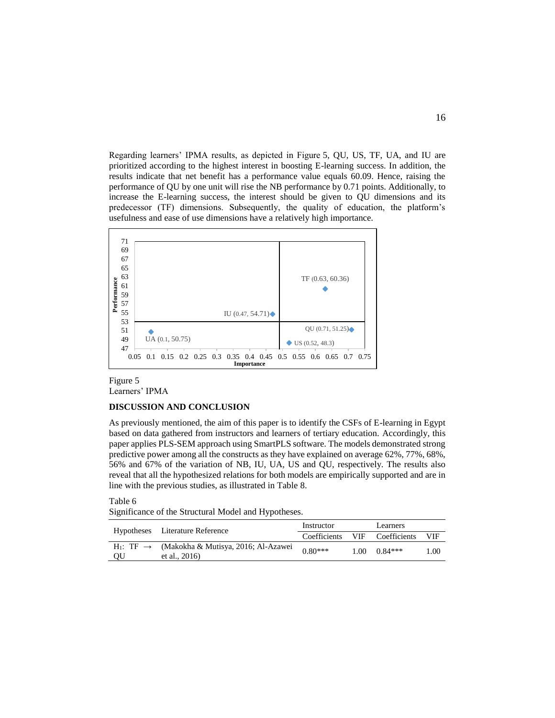Regarding learners' IPMA results, as depicted in Figure 5, QU, US, TF, UA, and IU are prioritized according to the highest interest in boosting E-learning success. In addition, the results indicate that net benefit has a performance value equals 60.09. Hence, raising the performance of QU by one unit will rise the NB performance by 0.71 points. Additionally, to increase the E-learning success, the interest should be given to QU dimensions and its predecessor (TF) dimensions. Subsequently, the quality of education, the platform's usefulness and ease of use dimensions have a relatively high importance.



## Figure 5 Learners' IPMA

#### **DISCUSSION AND CONCLUSION**

As previously mentioned, the aim of this paper is to identify the CSFs of E-learning in Egypt based on data gathered from instructors and learners of tertiary education. Accordingly, this paper applies PLS-SEM approach using SmartPLS software. The models demonstrated strong predictive power among all the constructs as they have explained on average 62%, 77%, 68%, 56% and 67% of the variation of NB, IU, UA, US and QU, respectively. The results also reveal that all the hypothesized relations for both models are empirically supported and are in line with the previous studies, as illustrated in Table 8.

#### Table 6

Significance of the Structural Model and Hypotheses.

|    | Hypotheses Literature Reference                                                         | Instructor |  | Learners                      |      |
|----|-----------------------------------------------------------------------------------------|------------|--|-------------------------------|------|
|    |                                                                                         |            |  | Coefficients VIF Coefficients | VIF  |
| QU | H <sub>1</sub> : TF $\rightarrow$ (Makokha & Mutisya, 2016; Al-Azawei<br>et al., $2016$ | $0.80***$  |  | $1.00 \quad 0.84***$          | 1.00 |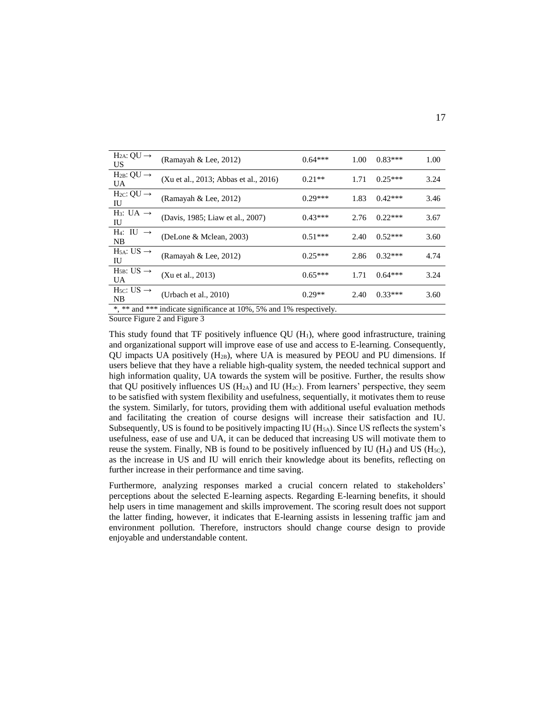| $H2A: QU \rightarrow$<br>US             | (Ramayah & Lee, 2012)                                               | $0.64***$ | 1.00 | $0.83***$ | 1.00 |
|-----------------------------------------|---------------------------------------------------------------------|-----------|------|-----------|------|
| $H_{2B}: QU \rightarrow$<br><b>UA</b>   | (Xu et al., 2013; Abbas et al., 2016)                               | $0.21**$  | 1.71 | $0.25***$ | 3.24 |
| $H_2C: QU \rightarrow$<br>IU            | (Ramayah & Lee, 2012)                                               | $0.29***$ | 1.83 | $0.42***$ | 3.46 |
| $H_3: UA \rightarrow$<br>IU             | (Davis, 1985; Liaw et al., 2007)                                    | $0.43***$ | 2.76 | $0.22***$ | 3.67 |
| $H_4$ : IU $\rightarrow$<br>NB          | (DeLone & Mclean, 2003)                                             | $0.51***$ | 2.40 | $0.52***$ | 3.60 |
| $H_{5A}: US \rightarrow$<br>ΙU          | (Ramayah & Lee, 2012)                                               | $0.25***$ | 2.86 | $0.32***$ | 4.74 |
| $H_{5B}: US \rightarrow$<br><b>UA</b>   | (Xu et al., 2013)                                                   | $0.65***$ | 1.71 | $0.64***$ | 3.24 |
| $H5C: US \rightarrow$<br>N <sub>B</sub> | (Urbach et al., $2010$ )                                            | $0.29**$  | 2.40 | $0.33***$ | 3.60 |
|                                         | *, ** and *** indicate significance at 10%, 5% and 1% respectively. |           |      |           |      |

Source Figure 2 and Figure 3

This study found that TF positively influence  $QU(H_1)$ , where good infrastructure, training and organizational support will improve ease of use and access to E-learning. Consequently, QU impacts UA positively  $(H_{2B})$ , where UA is measured by PEOU and PU dimensions. If users believe that they have a reliable high-quality system, the needed technical support and high information quality, UA towards the system will be positive. Further, the results show that QU positively influences US  $(H_{2A})$  and IU  $(H_{2C})$ . From learners' perspective, they seem to be satisfied with system flexibility and usefulness, sequentially, it motivates them to reuse the system. Similarly, for tutors, providing them with additional useful evaluation methods and facilitating the creation of course designs will increase their satisfaction and IU. Subsequently, US is found to be positively impacting IU  $(H<sub>5A</sub>)$ . Since US reflects the system's usefulness, ease of use and UA, it can be deduced that increasing US will motivate them to reuse the system. Finally, NB is found to be positively influenced by IU ( $H_4$ ) and US ( $H_{5C}$ ), as the increase in US and IU will enrich their knowledge about its benefits, reflecting on further increase in their performance and time saving.

Furthermore, analyzing responses marked a crucial concern related to stakeholders' perceptions about the selected E-learning aspects. Regarding E-learning benefits, it should help users in time management and skills improvement. The scoring result does not support the latter finding, however, it indicates that E-learning assists in lessening traffic jam and environment pollution. Therefore, instructors should change course design to provide enjoyable and understandable content.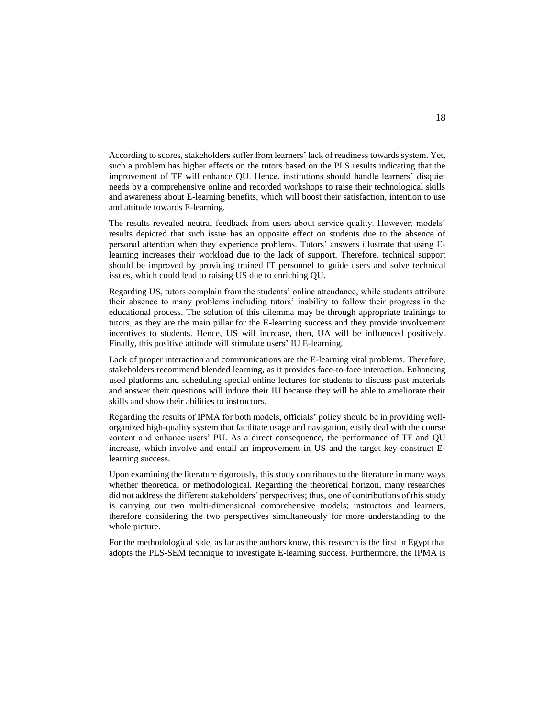According to scores, stakeholders suffer from learners' lack of readiness towards system. Yet, such a problem has higher effects on the tutors based on the PLS results indicating that the improvement of TF will enhance QU. Hence, institutions should handle learners' disquiet needs by a comprehensive online and recorded workshops to raise their technological skills and awareness about E-learning benefits, which will boost their satisfaction, intention to use and attitude towards E-learning.

The results revealed neutral feedback from users about service quality. However, models' results depicted that such issue has an opposite effect on students due to the absence of personal attention when they experience problems. Tutors' answers illustrate that using Elearning increases their workload due to the lack of support. Therefore, technical support should be improved by providing trained IT personnel to guide users and solve technical issues, which could lead to raising US due to enriching QU.

Regarding US, tutors complain from the students' online attendance, while students attribute their absence to many problems including tutors' inability to follow their progress in the educational process. The solution of this dilemma may be through appropriate trainings to tutors, as they are the main pillar for the E-learning success and they provide involvement incentives to students. Hence, US will increase, then, UA will be influenced positively. Finally, this positive attitude will stimulate users' IU E-learning.

Lack of proper interaction and communications are the E-learning vital problems. Therefore, stakeholders recommend blended learning, as it provides face-to-face interaction. Enhancing used platforms and scheduling special online lectures for students to discuss past materials and answer their questions will induce their IU because they will be able to ameliorate their skills and show their abilities to instructors.

Regarding the results of IPMA for both models, officials' policy should be in providing wellorganized high-quality system that facilitate usage and navigation, easily deal with the course content and enhance users' PU. As a direct consequence, the performance of TF and QU increase, which involve and entail an improvement in US and the target key construct Elearning success.

Upon examining the literature rigorously, this study contributes to the literature in many ways whether theoretical or methodological. Regarding the theoretical horizon, many researches did not address the different stakeholders' perspectives; thus, one of contributions of this study is carrying out two multi-dimensional comprehensive models; instructors and learners, therefore considering the two perspectives simultaneously for more understanding to the whole picture.

For the methodological side, as far as the authors know, this research is the first in Egypt that adopts the PLS-SEM technique to investigate E-learning success. Furthermore, the IPMA is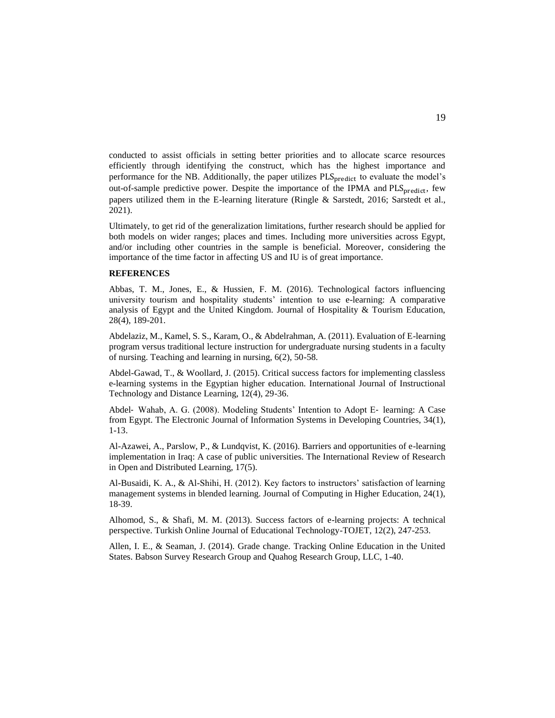conducted to assist officials in setting better priorities and to allocate scarce resources efficiently through identifying the construct, which has the highest importance and performance for the NB. Additionally, the paper utilizes PLS<sub>predict</sub> to evaluate the model's out-of-sample predictive power. Despite the importance of the IPMA and PLS<sub>predict</sub>, few papers utilized them in the E-learning literature (Ringle & Sarstedt, 2016; Sarstedt et al., 2021).

Ultimately, to get rid of the generalization limitations, further research should be applied for both models on wider ranges; places and times. Including more universities across Egypt, and/or including other countries in the sample is beneficial. Moreover, considering the importance of the time factor in affecting US and IU is of great importance.

## **REFERENCES**

Abbas, T. M., Jones, E., & Hussien, F. M. (2016). Technological factors influencing university tourism and hospitality students' intention to use e-learning: A comparative analysis of Egypt and the United Kingdom. Journal of Hospitality & Tourism Education, 28(4), 189-201.

Abdelaziz, M., Kamel, S. S., Karam, O., & Abdelrahman, A. (2011). Evaluation of E-learning program versus traditional lecture instruction for undergraduate nursing students in a faculty of nursing. Teaching and learning in nursing, 6(2), 50-58.

Abdel-Gawad, T., & Woollard, J. (2015). Critical success factors for implementing classless e-learning systems in the Egyptian higher education. International Journal of Instructional Technology and Distance Learning, 12(4), 29-36.

Abdel‐ Wahab, A. G. (2008). Modeling Students' Intention to Adopt E‐ learning: A Case from Egypt. The Electronic Journal of Information Systems in Developing Countries, 34(1), 1-13.

Al-Azawei, A., Parslow, P., & Lundqvist, K. (2016). Barriers and opportunities of e-learning implementation in Iraq: A case of public universities. The International Review of Research in Open and Distributed Learning, 17(5).

Al-Busaidi, K. A., & Al-Shihi, H. (2012). Key factors to instructors' satisfaction of learning management systems in blended learning. Journal of Computing in Higher Education, 24(1), 18-39.

Alhomod, S., & Shafi, M. M. (2013). Success factors of e-learning projects: A technical perspective. Turkish Online Journal of Educational Technology-TOJET, 12(2), 247-253.

Allen, I. E., & Seaman, J. (2014). Grade change. Tracking Online Education in the United States. Babson Survey Research Group and Quahog Research Group, LLC, 1-40.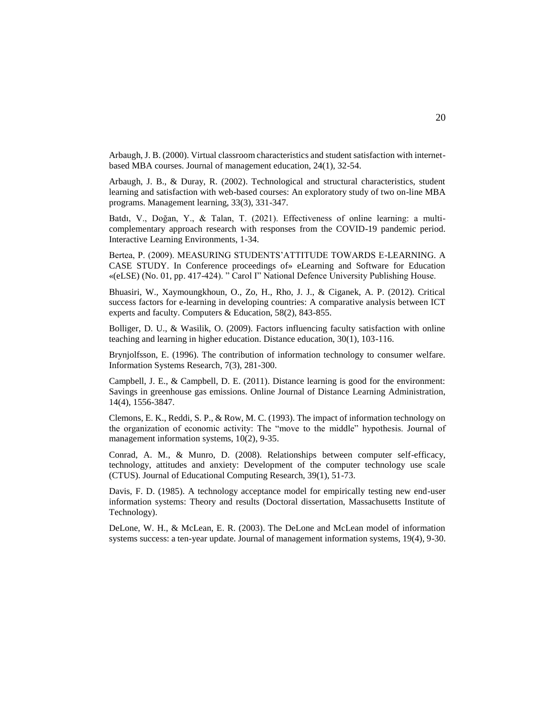Arbaugh, J. B. (2000). Virtual classroom characteristics and student satisfaction with internetbased MBA courses. Journal of management education, 24(1), 32-54.

Arbaugh, J. B., & Duray, R. (2002). Technological and structural characteristics, student learning and satisfaction with web-based courses: An exploratory study of two on-line MBA programs. Management learning, 33(3), 331-347.

Batdı, V., Doğan, Y., & Talan, T. (2021). Effectiveness of online learning: a multicomplementary approach research with responses from the COVID-19 pandemic period. Interactive Learning Environments, 1-34.

Bertea, P. (2009). MEASURING STUDENTS'ATTITUDE TOWARDS E-LEARNING. A CASE STUDY. In Conference proceedings of» eLearning and Software for Education «(eLSE) (No. 01, pp. 417-424). " Carol I" National Defence University Publishing House.

Bhuasiri, W., Xaymoungkhoun, O., Zo, H., Rho, J. J., & Ciganek, A. P. (2012). Critical success factors for e-learning in developing countries: A comparative analysis between ICT experts and faculty. Computers & Education, 58(2), 843-855.

Bolliger, D. U., & Wasilik, O. (2009). Factors influencing faculty satisfaction with online teaching and learning in higher education. Distance education, 30(1), 103-116.

Brynjolfsson, E. (1996). The contribution of information technology to consumer welfare. Information Systems Research, 7(3), 281-300.

Campbell, J. E., & Campbell, D. E. (2011). Distance learning is good for the environment: Savings in greenhouse gas emissions. Online Journal of Distance Learning Administration, 14(4), 1556-3847.

Clemons, E. K., Reddi, S. P., & Row, M. C. (1993). The impact of information technology on the organization of economic activity: The "move to the middle" hypothesis. Journal of management information systems, 10(2), 9-35.

Conrad, A. M., & Munro, D. (2008). Relationships between computer self-efficacy, technology, attitudes and anxiety: Development of the computer technology use scale (CTUS). Journal of Educational Computing Research, 39(1), 51-73.

Davis, F. D. (1985). A technology acceptance model for empirically testing new end-user information systems: Theory and results (Doctoral dissertation, Massachusetts Institute of Technology).

DeLone, W. H., & McLean, E. R. (2003). The DeLone and McLean model of information systems success: a ten-year update. Journal of management information systems, 19(4), 9-30.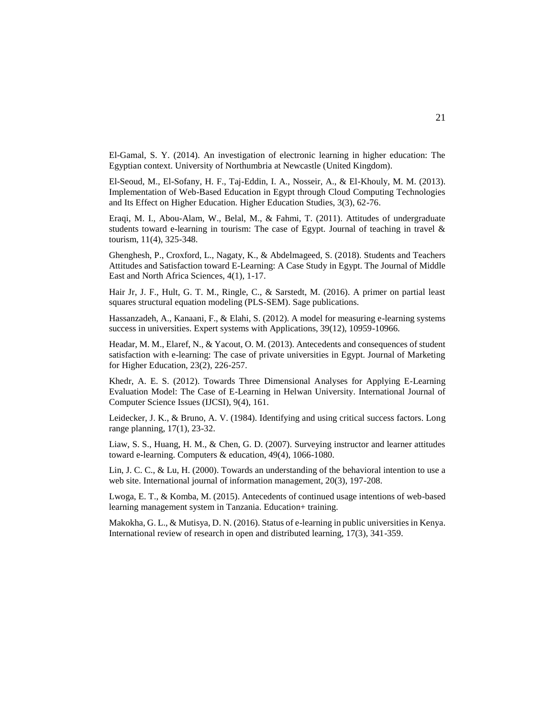El-Gamal, S. Y. (2014). An investigation of electronic learning in higher education: The Egyptian context. University of Northumbria at Newcastle (United Kingdom).

El-Seoud, M., El-Sofany, H. F., Taj-Eddin, I. A., Nosseir, A., & El-Khouly, M. M. (2013). Implementation of Web-Based Education in Egypt through Cloud Computing Technologies and Its Effect on Higher Education. Higher Education Studies, 3(3), 62-76.

Eraqi, M. I., Abou-Alam, W., Belal, M., & Fahmi, T. (2011). Attitudes of undergraduate students toward e-learning in tourism: The case of Egypt. Journal of teaching in travel & tourism, 11(4), 325-348.

Ghenghesh, P., Croxford, L., Nagaty, K., & Abdelmageed, S. (2018). Students and Teachers Attitudes and Satisfaction toward E-Learning: A Case Study in Egypt. The Journal of Middle East and North Africa Sciences, 4(1), 1-17.

Hair Jr, J. F., Hult, G. T. M., Ringle, C., & Sarstedt, M. (2016). A primer on partial least squares structural equation modeling (PLS-SEM). Sage publications.

Hassanzadeh, A., Kanaani, F., & Elahi, S. (2012). A model for measuring e-learning systems success in universities. Expert systems with Applications, 39(12), 10959-10966.

Headar, M. M., Elaref, N., & Yacout, O. M. (2013). Antecedents and consequences of student satisfaction with e-learning: The case of private universities in Egypt. Journal of Marketing for Higher Education, 23(2), 226-257.

Khedr, A. E. S. (2012). Towards Three Dimensional Analyses for Applying E-Learning Evaluation Model: The Case of E-Learning in Helwan University. International Journal of Computer Science Issues (IJCSI), 9(4), 161.

Leidecker, J. K., & Bruno, A. V. (1984). Identifying and using critical success factors. Long range planning, 17(1), 23-32.

Liaw, S. S., Huang, H. M., & Chen, G. D. (2007). Surveying instructor and learner attitudes toward e-learning. Computers & education, 49(4), 1066-1080.

Lin, J. C. C., & Lu, H. (2000). Towards an understanding of the behavioral intention to use a web site. International journal of information management, 20(3), 197-208.

Lwoga, E. T., & Komba, M. (2015). Antecedents of continued usage intentions of web-based learning management system in Tanzania. Education+ training.

Makokha, G. L., & Mutisya, D. N. (2016). Status of e-learning in public universities in Kenya. International review of research in open and distributed learning, 17(3), 341-359.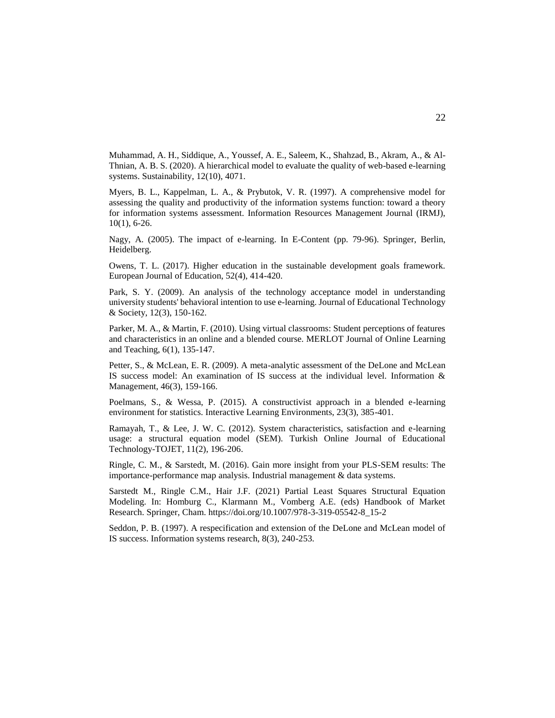Muhammad, A. H., Siddique, A., Youssef, A. E., Saleem, K., Shahzad, B., Akram, A., & Al-Thnian, A. B. S. (2020). A hierarchical model to evaluate the quality of web-based e-learning systems. Sustainability, 12(10), 4071.

Myers, B. L., Kappelman, L. A., & Prybutok, V. R. (1997). A comprehensive model for assessing the quality and productivity of the information systems function: toward a theory for information systems assessment. Information Resources Management Journal (IRMJ), 10(1), 6-26.

Nagy, A. (2005). The impact of e-learning. In E-Content (pp. 79-96). Springer, Berlin, Heidelberg.

Owens, T. L. (2017). Higher education in the sustainable development goals framework. European Journal of Education, 52(4), 414-420.

Park, S. Y. (2009). An analysis of the technology acceptance model in understanding university students' behavioral intention to use e-learning. Journal of Educational Technology & Society, 12(3), 150-162.

Parker, M. A., & Martin, F. (2010). Using virtual classrooms: Student perceptions of features and characteristics in an online and a blended course. MERLOT Journal of Online Learning and Teaching, 6(1), 135-147.

Petter, S., & McLean, E. R. (2009). A meta-analytic assessment of the DeLone and McLean IS success model: An examination of IS success at the individual level. Information & Management, 46(3), 159-166.

Poelmans, S., & Wessa, P. (2015). A constructivist approach in a blended e-learning environment for statistics. Interactive Learning Environments, 23(3), 385-401.

Ramayah, T., & Lee, J. W. C. (2012). System characteristics, satisfaction and e-learning usage: a structural equation model (SEM). Turkish Online Journal of Educational Technology-TOJET, 11(2), 196-206.

Ringle, C. M., & Sarstedt, M. (2016). Gain more insight from your PLS-SEM results: The importance-performance map analysis. Industrial management & data systems.

Sarstedt M., Ringle C.M., Hair J.F. (2021) Partial Least Squares Structural Equation Modeling. In: Homburg C., Klarmann M., Vomberg A.E. (eds) Handbook of Market Research. Springer, Cham. https://doi.org/10.1007/978-3-319-05542-8\_15-2

Seddon, P. B. (1997). A respecification and extension of the DeLone and McLean model of IS success. Information systems research, 8(3), 240-253.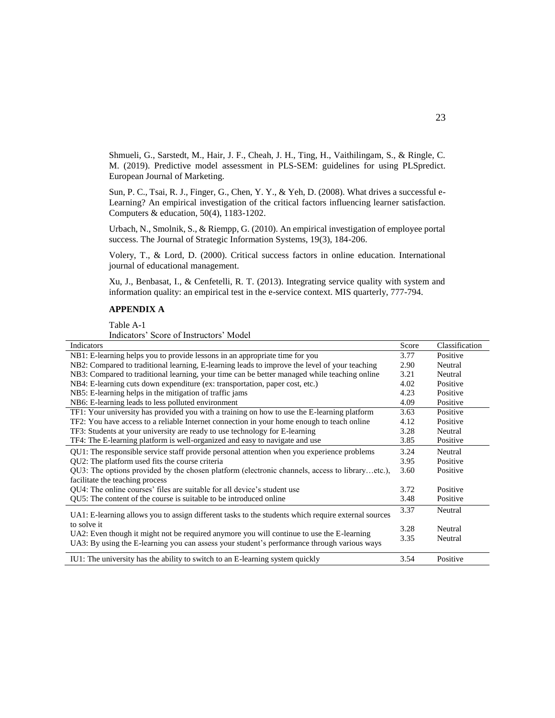Shmueli, G., Sarstedt, M., Hair, J. F., Cheah, J. H., Ting, H., Vaithilingam, S., & Ringle, C. M. (2019). Predictive model assessment in PLS-SEM: guidelines for using PLSpredict. European Journal of Marketing.

Sun, P. C., Tsai, R. J., Finger, G., Chen, Y. Y., & Yeh, D. (2008). What drives a successful e-Learning? An empirical investigation of the critical factors influencing learner satisfaction. Computers & education, 50(4), 1183-1202.

Urbach, N., Smolnik, S., & Riempp, G. (2010). An empirical investigation of employee portal success. The Journal of Strategic Information Systems, 19(3), 184-206.

Volery, T., & Lord, D. (2000). Critical success factors in online education. International journal of educational management.

Xu, J., Benbasat, I., & Cenfetelli, R. T. (2013). Integrating service quality with system and information quality: an empirical test in the e-service context. MIS quarterly, 777-794.

## **APPENDIX A**

Table A-1

Indicators' Score of Instructors' Model

| Indicators                                                                                          | Score | Classification |
|-----------------------------------------------------------------------------------------------------|-------|----------------|
| NB1: E-learning helps you to provide lessons in an appropriate time for you                         | 3.77  | Positive       |
| NB2: Compared to traditional learning, E-learning leads to improve the level of your teaching       | 2.90  | Neutral        |
| NB3: Compared to traditional learning, your time can be better managed while teaching online        | 3.21  | Neutral        |
| NB4: E-learning cuts down expenditure (ex: transportation, paper cost, etc.)                        | 4.02  | Positive       |
| NB5: E-learning helps in the mitigation of traffic jams                                             | 4.23  | Positive       |
| NB6: E-learning leads to less polluted environment                                                  | 4.09  | Positive       |
| TF1: Your university has provided you with a training on how to use the E-learning platform         | 3.63  | Positive       |
| TF2: You have access to a reliable Internet connection in your home enough to teach online          | 4.12  | Positive       |
| TF3: Students at your university are ready to use technology for E-learning                         | 3.28  | Neutral        |
| TF4: The E-learning platform is well-organized and easy to navigate and use                         | 3.85  | Positive       |
| QU1: The responsible service staff provide personal attention when you experience problems          | 3.24  | Neutral        |
| QU2: The platform used fits the course criteria                                                     | 3.95  | Positive       |
| QU3: The options provided by the chosen platform (electronic channels, access to libraryetc.),      | 3.60  | Positive       |
| facilitate the teaching process                                                                     |       |                |
| QU4: The online courses' files are suitable for all device's student use                            | 3.72  | Positive       |
| QU5: The content of the course is suitable to be introduced online                                  | 3.48  | Positive       |
|                                                                                                     | 3.37  | Neutral        |
| UA1: E-learning allows you to assign different tasks to the students which require external sources |       |                |
| to solve it                                                                                         | 3.28  | Neutral        |
| UA2: Even though it might not be required anymore you will continue to use the E-learning           | 3.35  | Neutral        |
| UA3: By using the E-learning you can assess your student's performance through various ways         |       |                |
| IU1: The university has the ability to switch to an E-learning system quickly                       | 3.54  | Positive       |